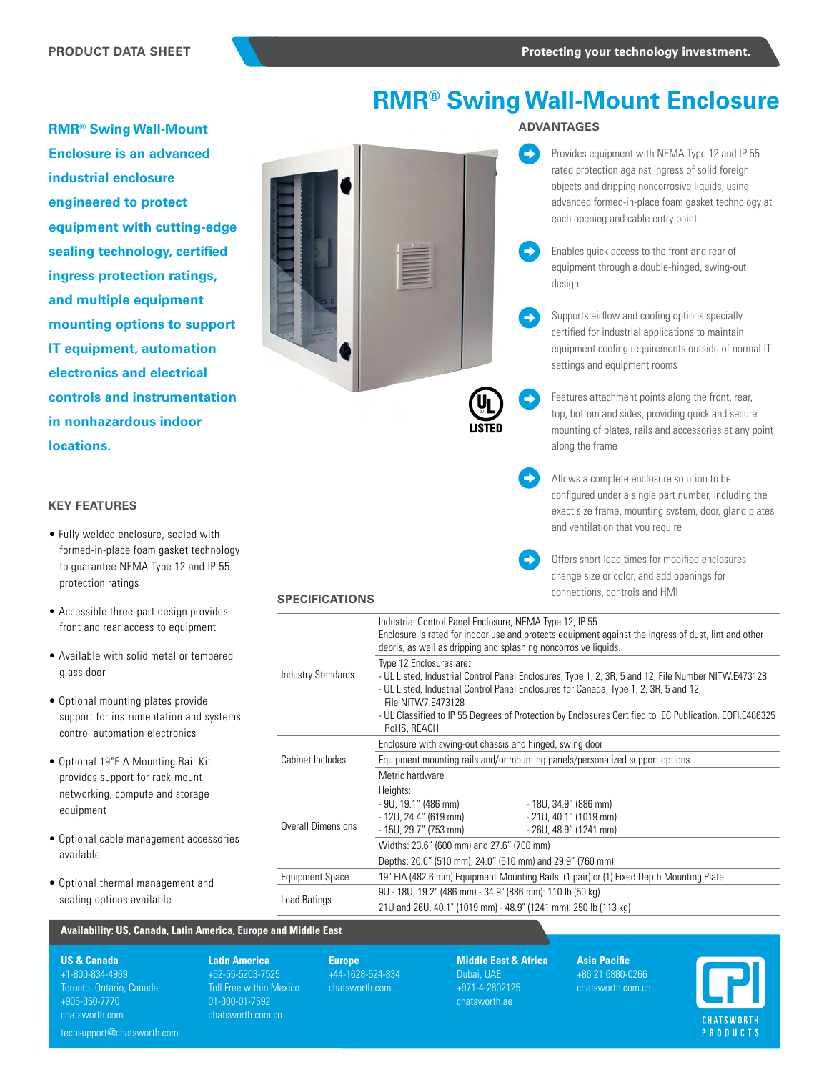# **RMR® Swing Wall-Mount Enclosure**

**RMR® Swing Wall-Mount Enclosure is an advanced industrial enclosure engineered to protect equipment with cutting-edge sealing technology, certified ingress protection ratings, and multiple equipment mounting options to support IT equipment, automation electronics and electrical controls and instrumentation in nonhazardous indoor locations.**



# **ADVANTAGES**

Provides equipment with NEMA Type 12 and IP 55 rated protection against ingress of solid foreign objects and dripping noncorrosive liquids, using advanced formed-in-place foam gasket technology at each opening and cable entry point

Enables quick access to the front and rear of equipment through a double-hinged, swing-out design

Supports airflow and cooling options specially certified for industrial applications to maintain equipment cooling requirements outside of normal IT settings and equipment rooms

Features attachment points along the front, rear, top, bottom and sides, providing quick and secure mounting of plates, rails and accessories at any point along the frame

Allows a complete enclosure solution to be configured under a single part number, including the exact size frame, mounting system, door, gland plates and ventilation that you require

Offers short lead times for modified enclosures– change size or color, and add openings for connections, controls and HMI

# **SPECIFICATIONS**

| Accessible three-part design provides                                                                         |                           |                                                                                                                        |  |  |
|---------------------------------------------------------------------------------------------------------------|---------------------------|------------------------------------------------------------------------------------------------------------------------|--|--|
| front and rear access to equipment                                                                            |                           | Industrial Control Panel Enclosure, NEMA Type 12, IP 55                                                                |  |  |
|                                                                                                               |                           | Enclosure is rated for indoor use and protects equipment against the ingress of dust, lint and other                   |  |  |
| Available with solid metal or tempered                                                                        |                           | debris, as well as dripping and splashing noncorrosive liquids.                                                        |  |  |
|                                                                                                               |                           | Type 12 Enclosures are:                                                                                                |  |  |
| glass door                                                                                                    | <b>Industry Standards</b> | - UL Listed, Industrial Control Panel Enclosures, Type 1, 2, 3R, 5 and 12; File Number NITW.E473128                    |  |  |
|                                                                                                               |                           | - UL Listed, Industrial Control Panel Enclosures for Canada, Type 1, 2, 3R, 5 and 12,                                  |  |  |
| Optional mounting plates provide<br>support for instrumentation and systems<br>control automation electronics |                           | File NITW7.E473128                                                                                                     |  |  |
|                                                                                                               |                           | - UL Classified to IP 55 Degrees of Protection by Enclosures Certified to IEC Publication, EOFI.E486325<br>RoHS, REACH |  |  |
|                                                                                                               |                           | Enclosure with swing-out chassis and hinged, swing door                                                                |  |  |
| Optional 19"EIA Mounting Rail Kit                                                                             | Cabinet Includes          | Equipment mounting rails and/or mounting panels/personalized support options                                           |  |  |
| provides support for rack-mount                                                                               |                           | Metric hardware                                                                                                        |  |  |
| networking, compute and storage                                                                               |                           | Heights:                                                                                                               |  |  |
| equipment                                                                                                     |                           | $-9U, 19.1" (486 mm)$<br>- 18U, 34.9" (886 mm)                                                                         |  |  |
|                                                                                                               |                           | $-21U, 40.1"$ (1019 mm)<br>- 12U, 24.4" (619 mm)                                                                       |  |  |
|                                                                                                               | <b>Overall Dimensions</b> | - 15U, 29.7" (753 mm)<br>- 26U, 48.9" (1241 mm)                                                                        |  |  |
| Optional cable management accessories                                                                         |                           | Widths: 23.6" (600 mm) and 27.6" (700 mm)                                                                              |  |  |
| available                                                                                                     |                           | Depths: 20.0" (510 mm), 24.0" (610 mm) and 29.9" (760 mm)                                                              |  |  |
| Optional thermal management and<br>sealing options available                                                  | <b>Equipment Space</b>    | 19" EIA (482.6 mm) Equipment Mounting Rails: (1 pair) or (1) Fixed Depth Mounting Plate                                |  |  |
|                                                                                                               |                           | 9U - 18U, 19.2" (486 mm) - 34.9" (886 mm): 110 lb (50 kg)                                                              |  |  |
|                                                                                                               | Load Ratings              | 21U and 26U, 40.1" (1019 mm) - 48.9" (1241 mm): 250 lb (113 kg)                                                        |  |  |
|                                                                                                               |                           |                                                                                                                        |  |  |

 $\rightarrow$ 

# **Availability: US, Canada, Latin America, Europe and Middle East**

#### **US & Canada**

**KEY FEATURES**

protection ratings

• Fully welded enclosure, sealed with formed-in-place foam gasket technology to guarantee NEMA Type 12 and IP 55

• Accessible three-part design provides front and rear access to equipment

• Optional mounting plates provide

+1-800-834-4969 Toronto, Ontario, Canada +905-850-7770 chatsworth.com

**Latin America**  +52-55-5203-7525 Toll Free within Mexico 01-800-01-7592 chatsworth.com.co

**Europe** +44-1628-524-834 chatsworth.com

**Middle East & Africa** Dubai, UAE +971-4-2602125 chatsworth.ae

**Asia Pacific** +86 21 6880-0266 chatsworth.com.cn



## techsupport@chatsworth.com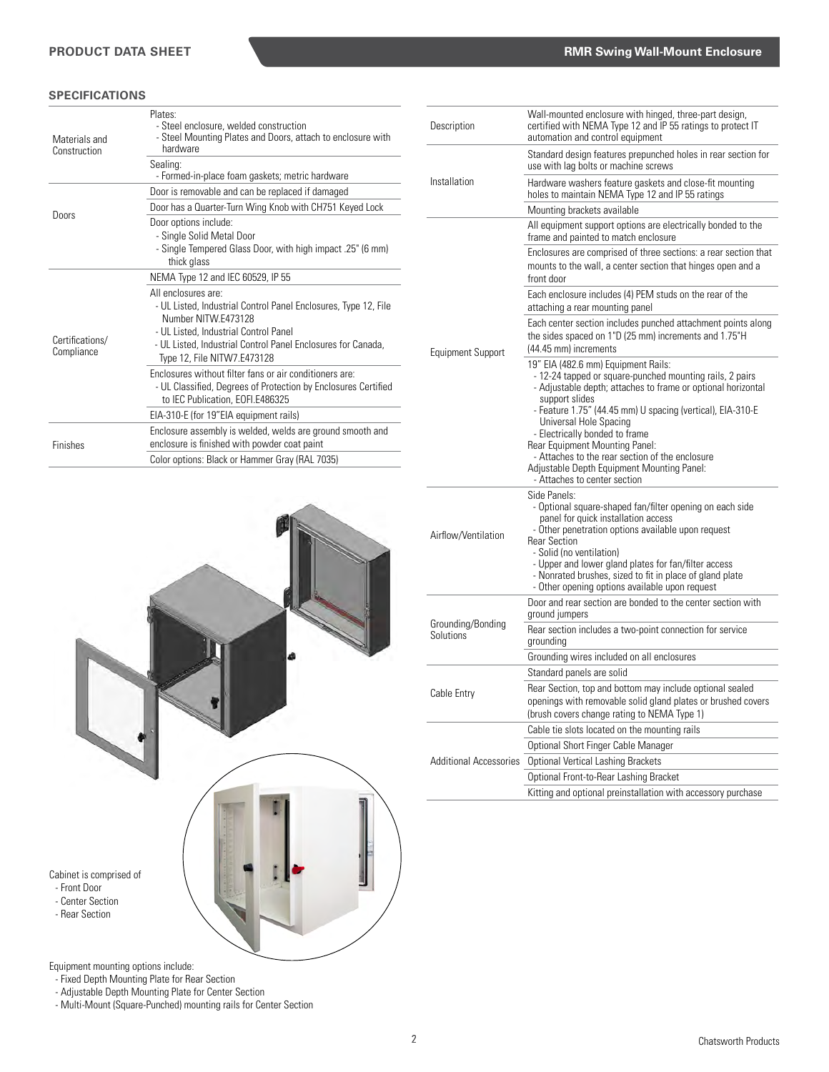# **SPECIFICATIONS**

| Materials and<br>Construction | Plates:<br>- Steel enclosure, welded construction<br>- Steel Mounting Plates and Doors, attach to enclosure with<br>hardware                                                                                                                          |
|-------------------------------|-------------------------------------------------------------------------------------------------------------------------------------------------------------------------------------------------------------------------------------------------------|
|                               | Sealing:<br>- Formed-in-place foam gaskets; metric hardware                                                                                                                                                                                           |
|                               | Door is removable and can be replaced if damaged                                                                                                                                                                                                      |
| Doors                         | Door has a Quarter-Turn Wing Knob with CH751 Keyed Lock                                                                                                                                                                                               |
|                               | Door options include:<br>- Single Solid Metal Door<br>- Single Tempered Glass Door, with high impact .25" (6 mm)<br>thick glass                                                                                                                       |
|                               | NEMA Type 12 and IEC 60529, IP 55                                                                                                                                                                                                                     |
| Certifications/<br>Compliance | All enclosures are:<br>- UL Listed, Industrial Control Panel Enclosures, Type 12, File<br>Number NITW F473128<br>- UL Listed, Industrial Control Panel<br>- UL Listed, Industrial Control Panel Enclosures for Canada,<br>Type 12, File NITW7.E473128 |
|                               | Enclosures without filter fans or air conditioners are:<br>- UL Classified, Degrees of Protection by Enclosures Certified<br>to IEC Publication, EOFI.E486325                                                                                         |
|                               | EIA-310-E (for 19"EIA equipment rails)                                                                                                                                                                                                                |
| <b>Finishes</b>               | Enclosure assembly is welded, welds are ground smooth and<br>enclosure is finished with powder coat paint                                                                                                                                             |
|                               | Color options: Black or Hammer Gray (RAL 7035)                                                                                                                                                                                                        |



Equipment mounting options include:

- Fixed Depth Mounting Plate for Rear Section

- Adjustable Depth Mounting Plate for Center Section - Multi-Mount (Square-Punched) mounting rails for Center Section

| Description                    | Wall-mounted enclosure with hinged, three-part design,<br>certified with NEMA Type 12 and IP 55 ratings to protect IT<br>automation and control equipment                                                                                                                                                                                                                                                                                                                      |
|--------------------------------|--------------------------------------------------------------------------------------------------------------------------------------------------------------------------------------------------------------------------------------------------------------------------------------------------------------------------------------------------------------------------------------------------------------------------------------------------------------------------------|
|                                | Standard design features prepunched holes in rear section for<br>use with lag bolts or machine screws                                                                                                                                                                                                                                                                                                                                                                          |
| Installation                   | Hardware washers feature gaskets and close-fit mounting<br>holes to maintain NEMA Type 12 and IP 55 ratings                                                                                                                                                                                                                                                                                                                                                                    |
|                                | Mounting brackets available                                                                                                                                                                                                                                                                                                                                                                                                                                                    |
|                                | All equipment support options are electrically bonded to the<br>frame and painted to match enclosure                                                                                                                                                                                                                                                                                                                                                                           |
|                                | Enclosures are comprised of three sections: a rear section that<br>mounts to the wall, a center section that hinges open and a<br>front door                                                                                                                                                                                                                                                                                                                                   |
|                                | Each enclosure includes (4) PEM studs on the rear of the<br>attaching a rear mounting panel                                                                                                                                                                                                                                                                                                                                                                                    |
| <b>Equipment Support</b>       | Each center section includes punched attachment points along<br>the sides spaced on 1"D (25 mm) increments and 1.75"H<br>(44.45 mm) increments                                                                                                                                                                                                                                                                                                                                 |
|                                | 19" EIA (482.6 mm) Equipment Rails:<br>- 12-24 tapped or square-punched mounting rails, 2 pairs<br>- Adjustable depth; attaches to frame or optional horizontal<br>support slides<br>- Feature 1.75" (44.45 mm) U spacing (vertical), EIA-310-E<br>Universal Hole Spacing<br>- Electrically bonded to frame<br>Rear Equipment Mounting Panel:<br>- Attaches to the rear section of the enclosure<br>Adjustable Depth Equipment Mounting Panel:<br>- Attaches to center section |
| Airflow/Ventilation            | Side Panels:<br>- Optional square-shaped fan/filter opening on each side<br>panel for quick installation access<br>- Other penetration options available upon request<br><b>Rear Section</b><br>- Solid (no ventilation)<br>- Upper and lower gland plates for fan/filter access<br>- Nonrated brushes, sized to fit in place of gland plate<br>- Other opening options available upon request                                                                                 |
|                                | Door and rear section are bonded to the center section with<br>ground jumpers                                                                                                                                                                                                                                                                                                                                                                                                  |
| Grounding/Bonding<br>Solutions | Rear section includes a two-point connection for service<br>grounding                                                                                                                                                                                                                                                                                                                                                                                                          |
|                                | Grounding wires included on all enclosures                                                                                                                                                                                                                                                                                                                                                                                                                                     |
|                                | Standard panels are solid                                                                                                                                                                                                                                                                                                                                                                                                                                                      |
| Cable Entry                    | Rear Section, top and bottom may include optional sealed<br>openings with removable solid gland plates or brushed covers<br>(brush covers change rating to NEMA Type 1)                                                                                                                                                                                                                                                                                                        |
|                                |                                                                                                                                                                                                                                                                                                                                                                                                                                                                                |
|                                | Cable tie slots located on the mounting rails                                                                                                                                                                                                                                                                                                                                                                                                                                  |
|                                | Optional Short Finger Cable Manager                                                                                                                                                                                                                                                                                                                                                                                                                                            |
| <b>Additional Accessories</b>  | <b>Optional Vertical Lashing Brackets</b>                                                                                                                                                                                                                                                                                                                                                                                                                                      |
|                                | Optional Front-to-Rear Lashing Bracket                                                                                                                                                                                                                                                                                                                                                                                                                                         |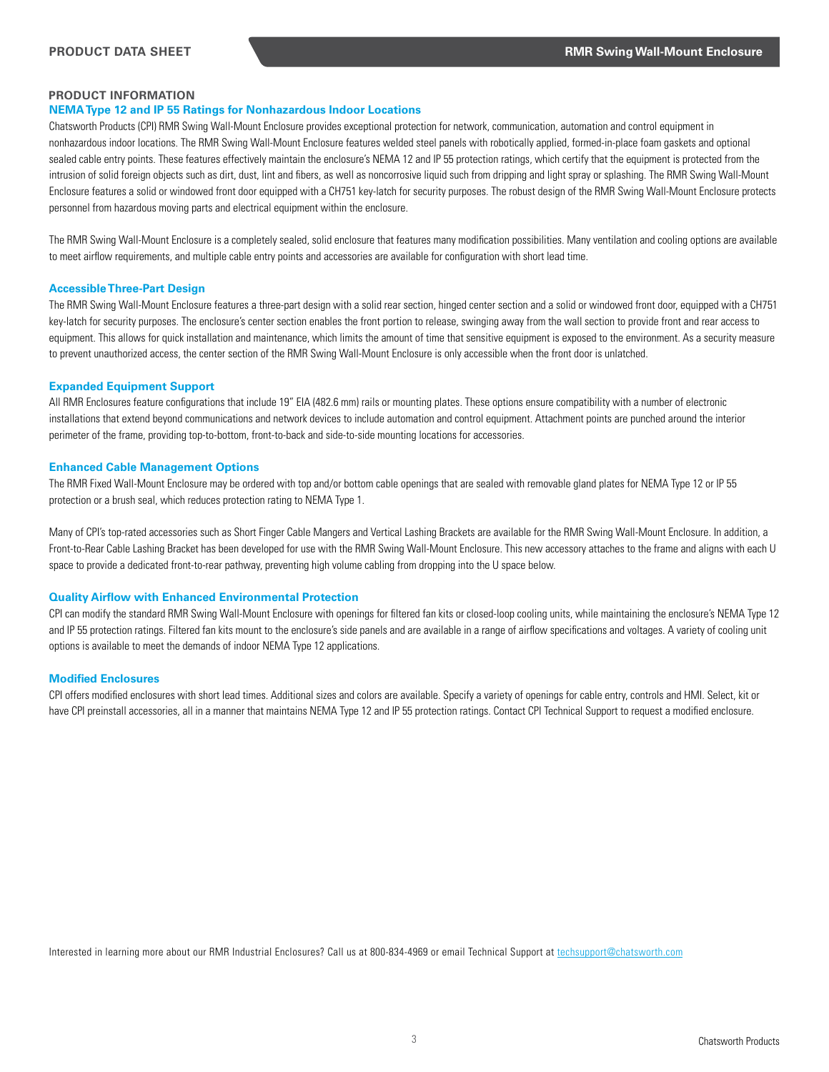# **PRODUCT INFORMATION**

## **NEMA Type 12 and IP 55 Ratings for Nonhazardous Indoor Locations**

Chatsworth Products (CPI) RMR Swing Wall-Mount Enclosure provides exceptional protection for network, communication, automation and control equipment in nonhazardous indoor locations. The RMR Swing Wall-Mount Enclosure features welded steel panels with robotically applied, formed-in-place foam gaskets and optional sealed cable entry points. These features effectively maintain the enclosure's NEMA 12 and IP 55 protection ratings, which certify that the equipment is protected from the intrusion of solid foreign objects such as dirt, dust, lint and fibers, as well as noncorrosive liquid such from dripping and light spray or splashing. The RMR Swing Wall-Mount Enclosure features a solid or windowed front door equipped with a CH751 key-latch for security purposes. The robust design of the RMR Swing Wall-Mount Enclosure protects personnel from hazardous moving parts and electrical equipment within the enclosure.

The RMR Swing Wall-Mount Enclosure is a completely sealed, solid enclosure that features many modification possibilities. Many ventilation and cooling options are available to meet airflow requirements, and multiple cable entry points and accessories are available for configuration with short lead time.

## **Accessible Three-Part Design**

The RMR Swing Wall-Mount Enclosure features a three-part design with a solid rear section, hinged center section and a solid or windowed front door, equipped with a CH751 key-latch for security purposes. The enclosure's center section enables the front portion to release, swinging away from the wall section to provide front and rear access to equipment. This allows for quick installation and maintenance, which limits the amount of time that sensitive equipment is exposed to the environment. As a security measure to prevent unauthorized access, the center section of the RMR Swing Wall-Mount Enclosure is only accessible when the front door is unlatched.

## **Expanded Equipment Support**

All RMR Enclosures feature configurations that include 19" EIA (482.6 mm) rails or mounting plates. These options ensure compatibility with a number of electronic installations that extend beyond communications and network devices to include automation and control equipment. Attachment points are punched around the interior perimeter of the frame, providing top-to-bottom, front-to-back and side-to-side mounting locations for accessories.

## **Enhanced Cable Management Options**

The RMR Fixed Wall-Mount Enclosure may be ordered with top and/or bottom cable openings that are sealed with removable gland plates for NEMA Type 12 or IP 55 protection or a brush seal, which reduces protection rating to NEMA Type 1.

Many of CPI's top-rated accessories such as Short Finger Cable Mangers and Vertical Lashing Brackets are available for the RMR Swing Wall-Mount Enclosure. In addition, a Front-to-Rear Cable Lashing Bracket has been developed for use with the RMR Swing Wall-Mount Enclosure. This new accessory attaches to the frame and aligns with each U space to provide a dedicated front-to-rear pathway, preventing high volume cabling from dropping into the U space below.

#### **Quality Airflow with Enhanced Environmental Protection**

CPI can modify the standard RMR Swing Wall-Mount Enclosure with openings for filtered fan kits or closed-loop cooling units, while maintaining the enclosure's NEMA Type 12 and IP 55 protection ratings. Filtered fan kits mount to the enclosure's side panels and are available in a range of airflow specifications and voltages. A variety of cooling unit options is available to meet the demands of indoor NEMA Type 12 applications.

# **Modified Enclosures**

CPI offers modified enclosures with short lead times. Additional sizes and colors are available. Specify a variety of openings for cable entry, controls and HMI. Select, kit or have CPI preinstall accessories, all in a manner that maintains NEMA Type 12 and IP 55 protection ratings. Contact CPI Technical Support to request a modified enclosure.

Interested in learning more about our RMR Industrial Enclosures? Call us at 800-834-4969 or email Technical Support at techsupport@chatsworth.com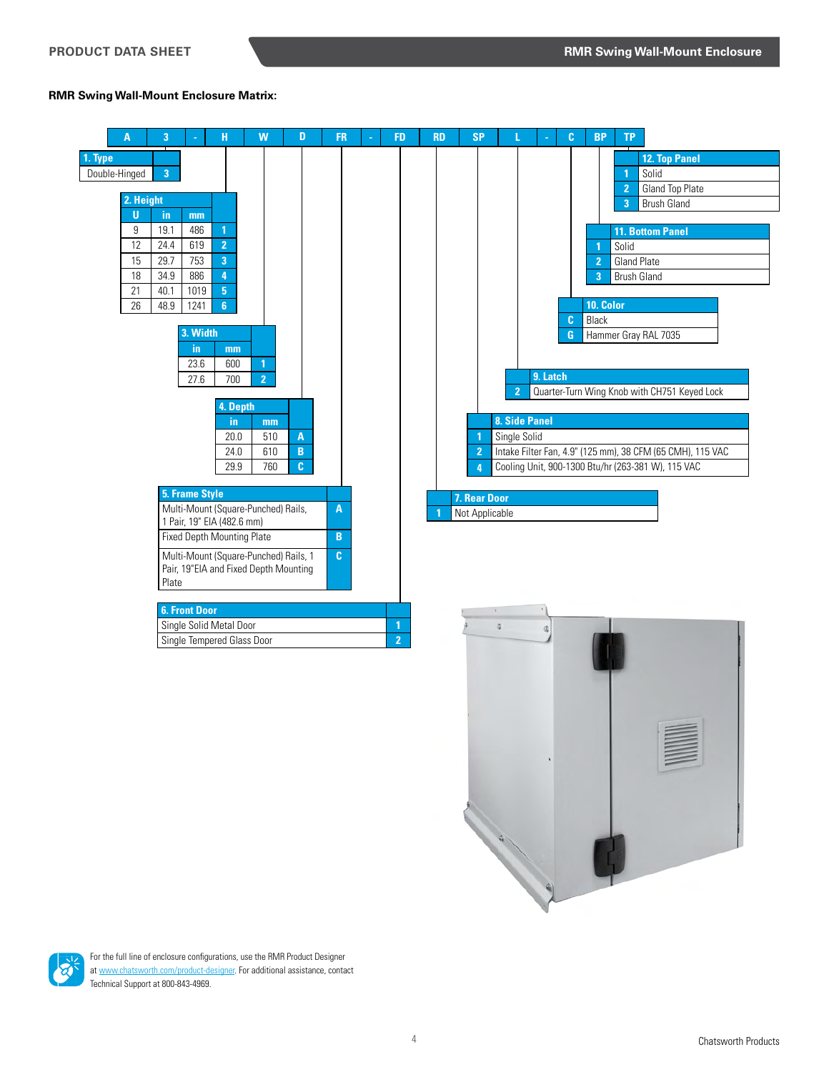# **RMR Swing Wall-Mount Enclosure Matrix:**





For the full line of enclosure configurations, use the RMR Product Designer at [www.](http://chatsworth.com/industrial-enclosures)chatsworth.com/product-designer. For additional assistance, contact Technical Support at 800-843-4969.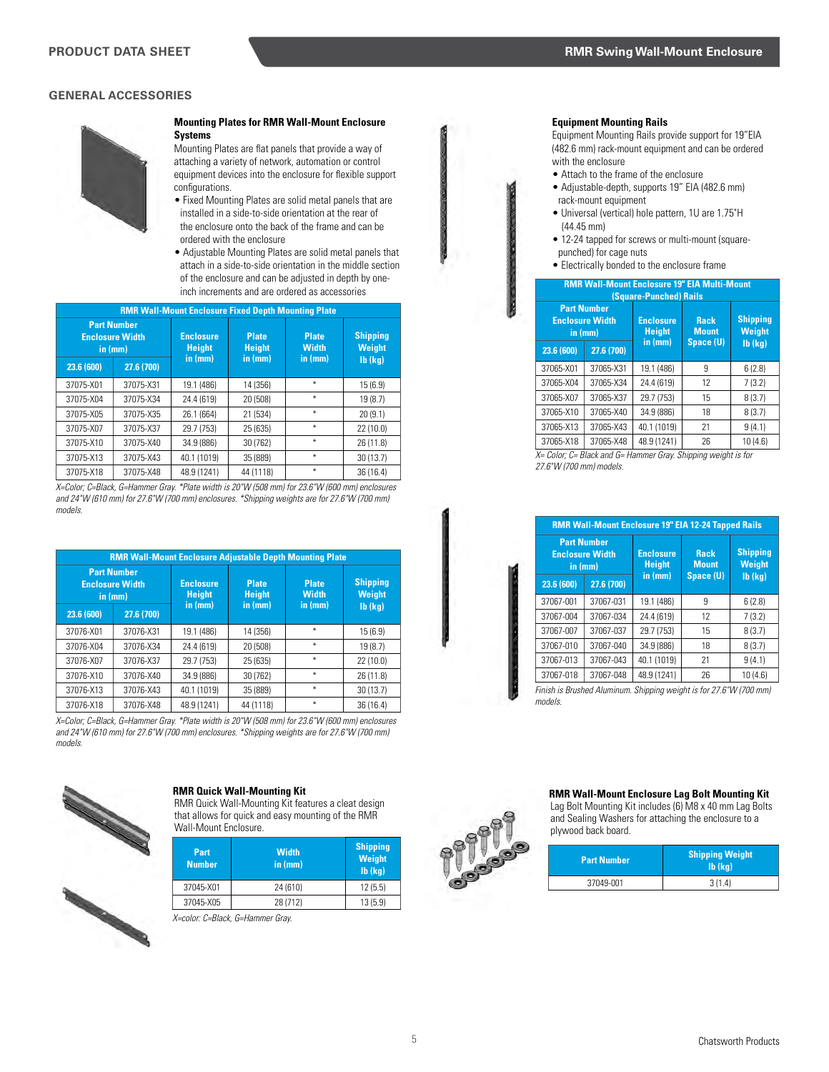

#### **Mounting Plates for RMR Wall-Mount Enclosure Systems**

Mounting Plates are flat panels that provide a way of attaching a variety of network, automation or control equipment devices into the enclosure for flexible support configurations.

- Fixed Mounting Plates are solid metal panels that are installed in a side-to-side orientation at the rear of the enclosure onto the back of the frame and can be ordered with the enclosure
- Adjustable Mounting Plates are solid metal panels that attach in a side-to-side orientation in the middle section of the enclosure and can be adjusted in depth by oneinch increments and are ordered as accessories

| <b>RMR Wall-Mount Enclosure Fixed Depth Mounting Plate</b> |            |                                                                    |           |                              |                                  |
|------------------------------------------------------------|------------|--------------------------------------------------------------------|-----------|------------------------------|----------------------------------|
| <b>Part Number</b><br><b>Enclosure Width</b><br>in (mm)    |            | <b>Plate</b><br><b>Enclosure</b><br><b>Height</b><br><b>Height</b> |           | <b>Plate</b><br><b>Width</b> | <b>Shipping</b><br><b>Weight</b> |
| 23.6 (600)                                                 | 27.6 (700) | in (mm)                                                            | in (mm)   | in (mm)                      | $Ib$ (kg)                        |
| 37075-X01                                                  | 37075-X31  | 19.1 (486)                                                         | 14 (356)  | ₩                            | 15(6.9)                          |
| 37075-X04                                                  | 37075-X34  | 24.4 (619)                                                         | 20 (508)  | ₩                            | 19 (8.7)                         |
| 37075-X05                                                  | 37075-X35  | 26.1 (664)                                                         | 21 (534)  | ¥                            | 20(9.1)                          |
| 37075-X07                                                  | 37075-X37  | 29.7 (753)                                                         | 25 (635)  | ₩                            | 22 (10.0)                        |
| 37075-X10                                                  | 37075-X40  | 34.9 (886)                                                         | 30 (762)  | ₩                            | 26 (11.8)                        |
| 37075-X13                                                  | 37075-X43  | 40.1 (1019)                                                        | 35 (889)  | ₩                            | 30(13.7)                         |
| 37075-X18                                                  | 37075-X48  | 48.9 (1241)                                                        | 44 (1118) | ₩                            | 36 (16.4)                        |

*X=Color; C=Black, G=Hammer Gray. \*Plate width is 20"W (508 mm) for 23.6"W (600 mm) enclosures and 24"W (610 mm) for 27.6"W (700 mm) enclosures. \*Shipping weights are for 27.6"W (700 mm) models.*

| <b>RMR Wall-Mount Enclosure Adjustable Depth Mounting Plate</b> |            |                                              |                                          |                                           |                                                   |  |
|-----------------------------------------------------------------|------------|----------------------------------------------|------------------------------------------|-------------------------------------------|---------------------------------------------------|--|
| <b>Part Number</b><br><b>Enclosure Width</b><br>in (mm)         |            | <b>Enclosure</b><br><b>Height</b><br>in (mm) | <b>Plate</b><br><b>Height</b><br>in (mm) | <b>Plate</b><br><b>Width</b><br>in $(mm)$ | <b>Shipping</b><br><b>Weight</b><br>$Ib$ ( $kg$ ) |  |
| 23.6 (600)                                                      | 27.6 (700) |                                              |                                          |                                           |                                                   |  |
| 37076-X01                                                       | 37076-X31  | 19.1 (486)                                   | 14 (356)                                 | ₩                                         | 15(6.9)                                           |  |
| 37076-X04                                                       | 37076-X34  | 24.4 (619)                                   | 20 (508)                                 | ₩                                         | 19(8.7)                                           |  |
| 37076-X07                                                       | 37076-X37  | 29.7 (753)                                   | 25 (635)                                 | ₩                                         | 22(10.0)                                          |  |
| 37076-X10                                                       | 37076-X40  | 34.9 (886)                                   | 30 (762)                                 | ₩                                         | 26 (11.8)                                         |  |
| 37076-X13                                                       | 37076-X43  | 40.1 (1019)                                  | 35 (889)                                 | ₩                                         | 30(13.7)                                          |  |
| 37076-X18                                                       | 37076-X48  | 48.9 (1241)                                  | 44 (1118)                                | ₩                                         | 36(16.4)                                          |  |

*X=Color; C=Black, G=Hammer Gray. \*Plate width is 20"W (508 mm) for 23.6"W (600 mm) enclosures and 24"W (610 mm) for 27.6"W (700 mm) enclosures. \*Shipping weights are for 27.6"W (700 mm) models.*



# **RMR Quick Wall-Mounting Kit**

RMR Quick Wall-Mounting Kit features a cleat design that allows for quick and easy mounting of the RMR Wall-Mount Enclosure.

| Part<br><b>Number</b> | <b>Width</b><br>in (mm) | <b>Shipping</b><br>Weight<br>$Ib$ ( $kq$ ) |
|-----------------------|-------------------------|--------------------------------------------|
| 37045-X01             | 24 (610)                | 12(5.5)                                    |
| 37045-X05             | 28 (712)                | 13(5.9)                                    |

*X=color: C=Black, G=Hammer Gray.* 

## **Equipment Mounting Rails**

Equipment Mounting Rails provide support for 19"EIA (482.6 mm) rack-mount equipment and can be ordered with the enclosure

- Attach to the frame of the enclosure
- Adjustable-depth, supports 19" EIA (482.6 mm) rack-mount equipment
- Universal (vertical) hole pattern, 1U are 1.75"H (44.45 mm)
- 12-24 tapped for screws or multi-mount (squarepunched) for cage nuts
- Electrically bonded to the enclosure frame

| <b>RMR Wall-Mount Enclosure 19" EIA Multi-Mount</b><br>(Square-Punched) Rails |            |                                   |                             |                                  |  |
|-------------------------------------------------------------------------------|------------|-----------------------------------|-----------------------------|----------------------------------|--|
| <b>Part Number</b><br><b>Enclosure Width</b><br>in (mm)                       |            | <b>Enclosure</b><br><b>Height</b> | <b>Rack</b><br><b>Mount</b> | <b>Shipping</b><br><b>Weight</b> |  |
| 23.6 (600)                                                                    | 27.6 (700) | in (mm)                           | Space (U)                   | $Ib$ ( $kq$ )                    |  |
| 37065-X01                                                                     | 37065-X31  | 19.1 (486)                        | 9                           | 6(2.8)                           |  |
| 37065-X04                                                                     | 37065-X34  | 24.4 (619)                        | 12                          | 7(3.2)                           |  |
| 37065-X07                                                                     | 37065-X37  | 29.7 (753)                        | 15                          | 8(3.7)                           |  |
| 37065-X10                                                                     | 37065-X40  | 34.9 (886)                        | 18                          | 8(3.7)                           |  |
| 37065-X13                                                                     | 37065-X43  | 40.1 (1019)                       | 21                          | 9(4.1)                           |  |
| 37065-X18                                                                     | 37065-X48  | 48.9 (1241)                       | 26                          | 10(4.6)                          |  |

*X= Color; C= Black and G= Hammer Gray. Shipping weight is for 27.6"W (700 mm) models.*

| <b>RMR Wall-Mount Enclosure 19" EIA 12-24 Tapped Rails</b>                          |           |                                              |                                          |                                                   |
|-------------------------------------------------------------------------------------|-----------|----------------------------------------------|------------------------------------------|---------------------------------------------------|
| <b>Part Number</b><br><b>Enclosure Width</b><br>in (mm)<br>27.6 (700)<br>23.6 (600) |           | <b>Enclosure</b><br><b>Height</b><br>in (mm) | <b>Rack</b><br><b>Mount</b><br>Space (U) | <b>Shipping</b><br><b>Weight</b><br>$Ib$ ( $kq$ ) |
| 37067-001                                                                           | 37067-031 | 19.1 (486)                                   | 9                                        | 6(2.8)                                            |
| 37067-004                                                                           | 37067-034 | 24.4 (619)                                   | 12                                       | 7(3.2)                                            |
| 37067-007                                                                           | 37067-037 | 29.7 (753)                                   | 15                                       | 8(3.7)                                            |
| 37067-010                                                                           | 37067-040 | 34.9 (886)                                   | 18                                       | 8(3.7)                                            |
| 37067-013                                                                           | 37067-043 | 40.1 (1019)                                  | 21                                       | 9(4.1)                                            |
| 37067-018                                                                           | 37067-048 | 48.9 (1241)                                  | 26                                       | 10(4.6)                                           |

*Finish is Brushed Aluminum. Shipping weight is for 27.6"W (700 mm) models.*



#### **RMR Wall-Mount Enclosure Lag Bolt Mounting Kit**

Lag Bolt Mounting Kit includes (6) M8 x 40 mm Lag Bolts and Sealing Washers for attaching the enclosure to a plywood back board.

| <b>Part Number</b> | <b>Shipping Weight</b><br>$Ib$ ( $kq$ ) |  |
|--------------------|-----------------------------------------|--|
| 37049-001          | 3(1.4)                                  |  |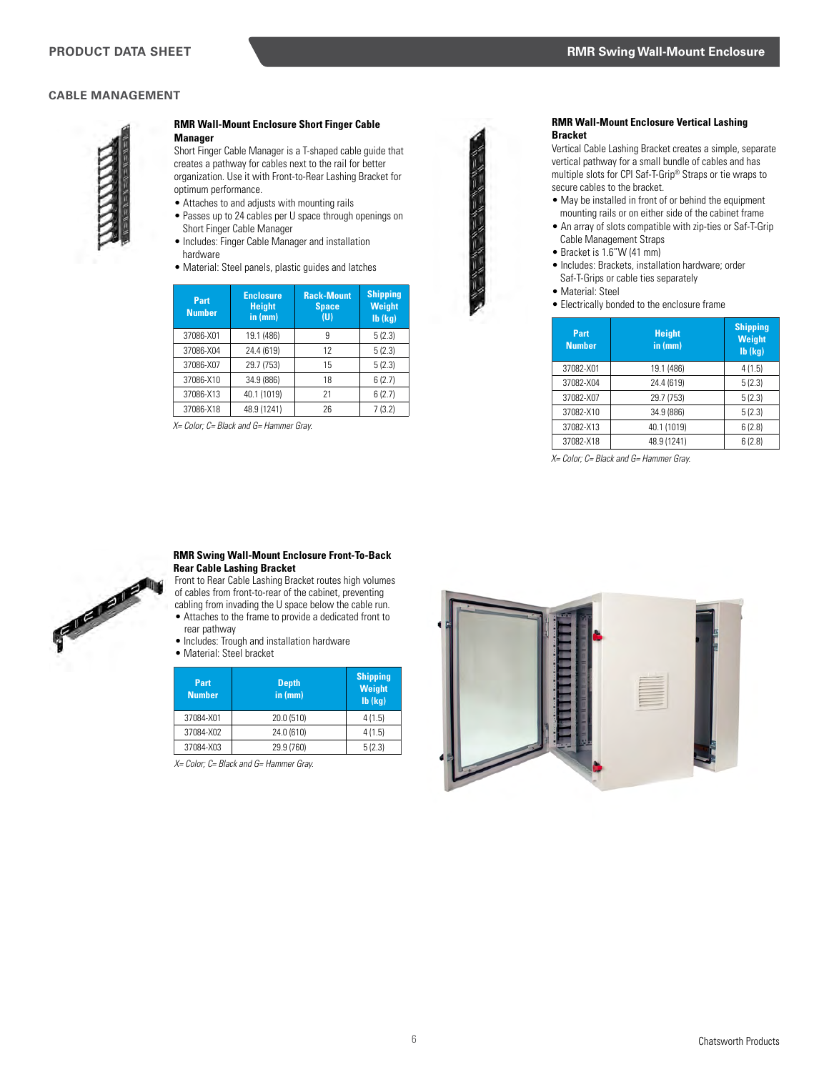# **CABLE MANAGEMENT**



#### **RMR Wall-Mount Enclosure Short Finger Cable Manager**

Short Finger Cable Manager is a T-shaped cable guide that creates a pathway for cables next to the rail for better organization. Use it with Front-to-Rear Lashing Bracket for optimum performance.

- Attaches to and adjusts with mounting rails
- Passes up to 24 cables per U space through openings on Short Finger Cable Manager
- Includes: Finger Cable Manager and installation hardware
- Material: Steel panels, plastic guides and latches

| Part<br><b>Number</b> | <b>Enclosure</b><br><b>Height</b><br>in (mm) | <b>Rack-Mount</b><br><b>Space</b><br>(U) | <b>Shipping</b><br><b>Weight</b><br>$Ib$ ( $kg$ ) |
|-----------------------|----------------------------------------------|------------------------------------------|---------------------------------------------------|
| 37086-X01             | 19.1 (486)                                   | 9                                        | 5(2.3)                                            |
| 37086-X04             | 24.4 (619)                                   | 12                                       | 5(2.3)                                            |
| 37086-X07             | 29.7 (753)                                   | 15                                       | 5(2.3)                                            |
| 37086-X10             | 34.9 (886)                                   | 18                                       | 6(2.7)                                            |
| 37086-X13             | 40.1 (1019)                                  | 21                                       | 6(2.7)                                            |
| 37086-X18             | 48.9 (1241)                                  | 26                                       | 7(3.2)                                            |

*X= Color; C= Black and G= Hammer Gray.* 



#### **RMR Wall-Mount Enclosure Vertical Lashing Bracket**

Vertical Cable Lashing Bracket creates a simple, separate vertical pathway for a small bundle of cables and has multiple slots for CPI Saf-T-Grip® Straps or tie wraps to secure cables to the bracket.

- May be installed in front of or behind the equipment mounting rails or on either side of the cabinet frame
- An array of slots compatible with zip-ties or Saf-T-Grip Cable Management Straps
- Bracket is 1.6"W (41 mm)
- Includes: Brackets, installation hardware; order Saf-T-Grips or cable ties separately
- Material: Steel
- **Electrically bonded to the enclosure frame**

| Part<br><b>Number</b> | <b>Height</b><br>in (mm) | <b>Shipping</b><br><b>Weight</b><br>$Ib$ ( $kg$ ) |
|-----------------------|--------------------------|---------------------------------------------------|
| 37082-X01             | 19.1 (486)               | 4(1.5)                                            |
| 37082-X04             | 24.4 (619)               | 5(2.3)                                            |
| 37082-X07             | 29.7 (753)               | 5(2.3)                                            |
| 37082-X10             | 34.9 (886)               | 5(2.3)                                            |
| 37082-X13             | 40.1 (1019)              | 6(2.8)                                            |
| 37082-X18             | 48.9 (1241)              | 6(2.8)                                            |

*X= Color; C= Black and G= Hammer Gray.* 



## **RMR Swing Wall-Mount Enclosure Front-To-Back Rear Cable Lashing Bracket**

Front to Rear Cable Lashing Bracket routes high volumes of cables from front-to-rear of the cabinet, preventing cabling from invading the U space below the cable run.

- Attaches to the frame to provide a dedicated front to rear pathway
- Includes: Trough and installation hardware
- Material: Steel bracket

| Part<br><b>Number</b> | <b>Depth</b><br>in (mm) | <b>Shipping</b><br>Weight<br>$Ib$ ( $kq$ ) |
|-----------------------|-------------------------|--------------------------------------------|
| 37084-X01             | 20.0 (510)              | 4(1.5)                                     |
| 37084-X02             | 24.0 (610)              | 4(1.5)                                     |
| 37084-X03             | 29.9 (760)              | 5(2.3)                                     |

*X= Color; C= Black and G= Hammer Gray.* 

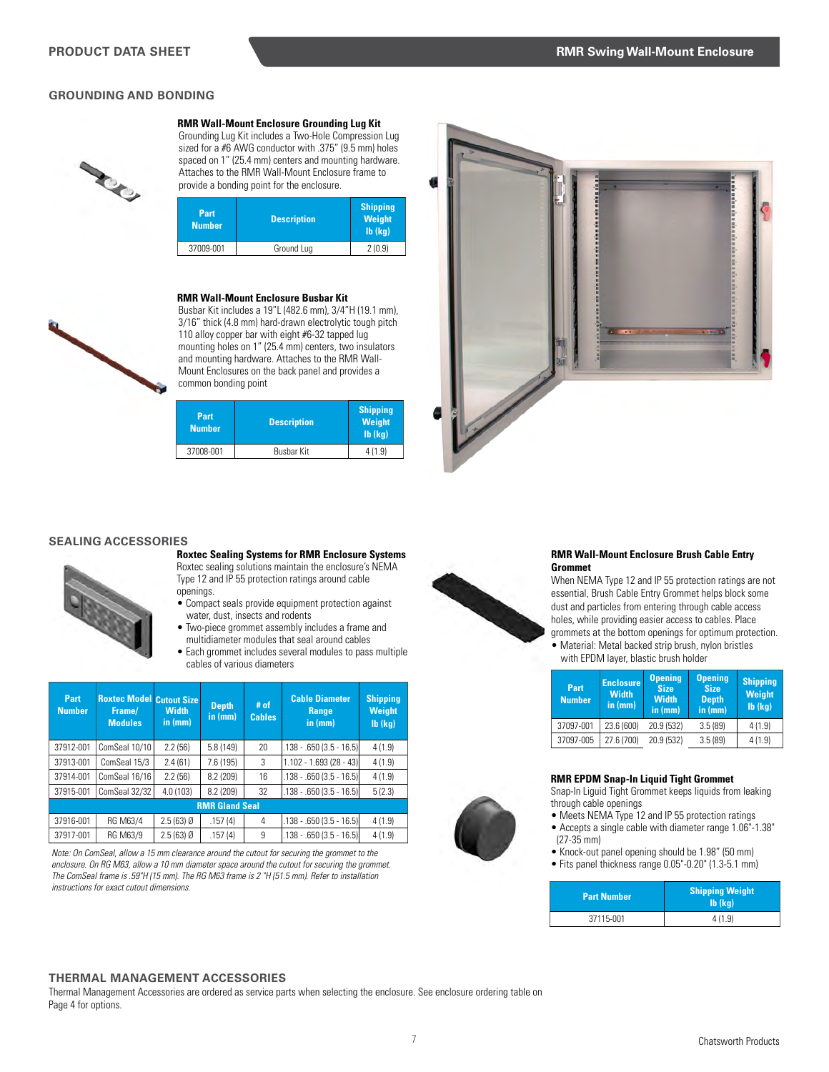## **GROUNDING AND BONDING**



**RMR Wall-Mount Enclosure Grounding Lug Kit**

Grounding Lug Kit includes a Two-Hole Compression Lug sized for a #6 AWG conductor with .375" (9.5 mm) holes spaced on 1" (25.4 mm) centers and mounting hardware. Attaches to the RMR Wall-Mount Enclosure frame to provide a bonding point for the enclosure.

| Part<br><b>Number</b> | <b>Description</b> | <b>Shipping</b><br><b>Weight</b><br>$Ib$ ( $kq$ ) |
|-----------------------|--------------------|---------------------------------------------------|
| 37009-001             | Ground Lug         | 2(0.9)                                            |

#### **RMR Wall-Mount Enclosure Busbar Kit**

Busbar Kit includes a 19"L (482.6 mm), 3/4"H (19.1 mm), 3/16" thick (4.8 mm) hard-drawn electrolytic tough pitch 110 alloy copper bar with eight #6-32 tapped lug mounting holes on 1" (25.4 mm) centers, two insulators and mounting hardware. Attaches to the RMR Wall-Mount Enclosures on the back panel and provides a common bonding point

| <b>Description</b> | <b>Shipping</b><br>Weight<br>$Ib$ ( $kq$ ) |
|--------------------|--------------------------------------------|
| <b>Busbar Kit</b>  | 4(1.9)                                     |
|                    |                                            |



#### **SEALING ACCESSORIES**



**Roxtec Sealing Systems for RMR Enclosure Systems**  Roxtec sealing solutions maintain the enclosure's NEMA Type 12 and IP 55 protection ratings around cable openings.

- Compact seals provide equipment protection against water, dust, insects and rodents
- Two-piece grommet assembly includes a frame and multidiameter modules that seal around cables
- Each grommet includes several modules to pass multiple cables of various diameters

| Part<br><b>Number</b> | <b>Roxtec Model Cutout Size</b><br>Frame/<br><b>Modules</b> | <b>Width</b><br>in $(mm)$ | <b>Depth</b><br>in (mm) | $#$ of<br><b>Cables</b> | <b>Cable Diameter</b><br><b>Range</b><br>in (mm) | <b>Shipping</b><br><b>Weight</b><br>$Ib$ ( $kq$ ) |
|-----------------------|-------------------------------------------------------------|---------------------------|-------------------------|-------------------------|--------------------------------------------------|---------------------------------------------------|
| 37912-001             | ComSeal 10/10                                               | 2.2(56)                   | 5.8(149)                | 20                      | $.138 - .650(3.5 - 16.5)$                        | 4(1.9)                                            |
| 37913-001             | ComSeal 15/3                                                | 2.4(61)                   | 7.6 (195)               | 3                       | $(1.102 - 1.693(28 - 43))$                       | 4(1.9)                                            |
| 37914-001             | ComSeal 16/16                                               | 2.2(56)                   | 8.2(209)                | 16                      | $.138 - .650(3.5 - 16.5)$                        | 4(1.9)                                            |
| 37915-001             | ComSeal 32/32                                               | 4.0(103)                  | 8.2(209)                | 32                      | $.138 - .650(3.5 - 16.5)$                        | 5(2.3)                                            |
|                       |                                                             |                           | <b>RMR Gland Seal</b>   |                         |                                                  |                                                   |
| 37916-001             | RG M63/4                                                    | $2.5(63)$ Ø               | .157(4)                 | 4                       | $.138 - .650(3.5 - 16.5)$                        | 4(1.9)                                            |
| 37917-001             | RG M63/9                                                    | $2.5(63)$ Ø               | .157(4)                 | 9                       | $.138 - .650(3.5 - 16.5)$                        | 4(1.9)                                            |

*Note: On ComSeal, allow a 15 mm clearance around the cutout for securing the grommet to the enclosure. On RG M63, allow a 10 mm diameter space around the cutout for securing the grommet. The ComSeal frame is .59"H (15 mm). The RG M63 frame is 2 "H (51.5 mm). Refer to installation instructions for exact cutout dimensions.*



#### **RMR Wall-Mount Enclosure Brush Cable Entry Grommet**

When NEMA Type 12 and IP 55 protection ratings are not essential, Brush Cable Entry Grommet helps block some dust and particles from entering through cable access holes, while providing easier access to cables. Place

grommets at the bottom openings for optimum protection. • Material: Metal backed strip brush, nylon bristles with EPDM layer, blastic brush holder

| Part<br><b>Number</b> | <b>Enclosure</b><br><b>Width</b><br>in $(mm)$ | <b>Opening</b><br><b>Size</b><br><b>Width</b><br>in $(mm)$ | <b>Opening</b><br><b>Size</b><br><b>Depth</b><br>$\overline{\mathsf{in}(\mathsf{mm})}$ | <b>Shipping</b><br>Weight<br>$Ib$ ( $kq$ ) |
|-----------------------|-----------------------------------------------|------------------------------------------------------------|----------------------------------------------------------------------------------------|--------------------------------------------|
| 37097-001             | 23.6 (600)                                    | 20.9 (532)                                                 | 3.5(89)                                                                                | 4(1.9)                                     |
| 37097-005             | 27.6 (700)                                    | 20.9 (532)                                                 | 3.5(89)                                                                                | 4(1.9)                                     |

#### **RMR EPDM Snap-In Liquid Tight Grommet**

Snap-In Liguid Tight Grommet keeps liquids from leaking through cable openings

- Meets NEMA Type 12 and IP 55 protection ratings
- Accepts a single cable with diameter range 1.06"-1.38" (27-35 mm)
- Knock-out panel opening should be 1.98" (50 mm)
- Fits panel thickness range 0.05"-0.20" (1.3-5.1 mm)

| <b>Part Number</b> | <b>Shipping Weight</b><br>$Ib$ ( $kq$ ) |  |
|--------------------|-----------------------------------------|--|
| 37115-001          | 4(1.9)                                  |  |

#### **THERMAL MANAGEMENT ACCESSORIES**

Thermal Management Accessories are ordered as service parts when selecting the enclosure. See enclosure ordering table on Page 4 for options.